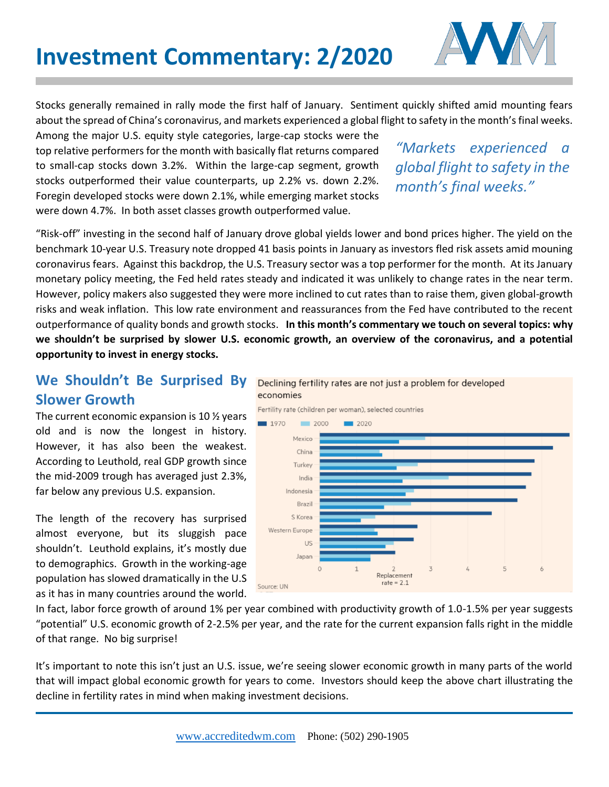

Stocks generally remained in rally mode the first half of January. Sentiment quickly shifted amid mounting fears about the spread of China's coronavirus, and markets experienced a global flight to safety in the month's final weeks.

Among the major U.S. equity style categories, large-cap stocks were the top relative performers for the month with basically flat returns compared to small-cap stocks down 3.2%. Within the large-cap segment, growth stocks outperformed their value counterparts, up 2.2% vs. down 2.2%. Foregin developed stocks were down 2.1%, while emerging market stocks were down 4.7%. In both asset classes growth outperformed value.

*"Markets experienced a global flight to safety in the month's final weeks."* 

"Risk-off" investing in the second half of January drove global yields lower and bond prices higher. The yield on the benchmark 10-year U.S. Treasury note dropped 41 basis points in January as investors fled risk assets amid mouning coronavirus fears. Against this backdrop, the U.S. Treasury sector was a top performer for the month. At its January monetary policy meeting, the Fed held rates steady and indicated it was unlikely to change rates in the near term. However, policy makers also suggested they were more inclined to cut rates than to raise them, given global-growth risks and weak inflation. This low rate environment and reassurances from the Fed have contributed to the recent outperformance of quality bonds and growth stocks. **In this month's commentary we touch on several topics: why we shouldn't be surprised by slower U.S. economic growth, an overview of the coronavirus, and a potential opportunity to invest in energy stocks.** 

## **We Shouldn't Be Surprised By Slower Growth**

The current economic expansion is 10 ½ years old and is now the longest in history. However, it has also been the weakest. According to Leuthold, real GDP growth since the mid-2009 trough has averaged just 2.3%, far below any previous U.S. expansion.

The length of the recovery has surprised almost everyone, but its sluggish pace shouldn't. Leuthold explains, it's mostly due to demographics. Growth in the working-age population has slowed dramatically in the U.S as it has in many countries around the world.





In fact, labor force growth of around 1% per year combined with productivity growth of 1.0-1.5% per year suggests "potential" U.S. economic growth of 2-2.5% per year, and the rate for the current expansion falls right in the middle of that range. No big surprise!

It's important to note this isn't just an U.S. issue, we're seeing slower economic growth in many parts of the world that will impact global economic growth for years to come. Investors should keep the above chart illustrating the decline in fertility rates in mind when making investment decisions.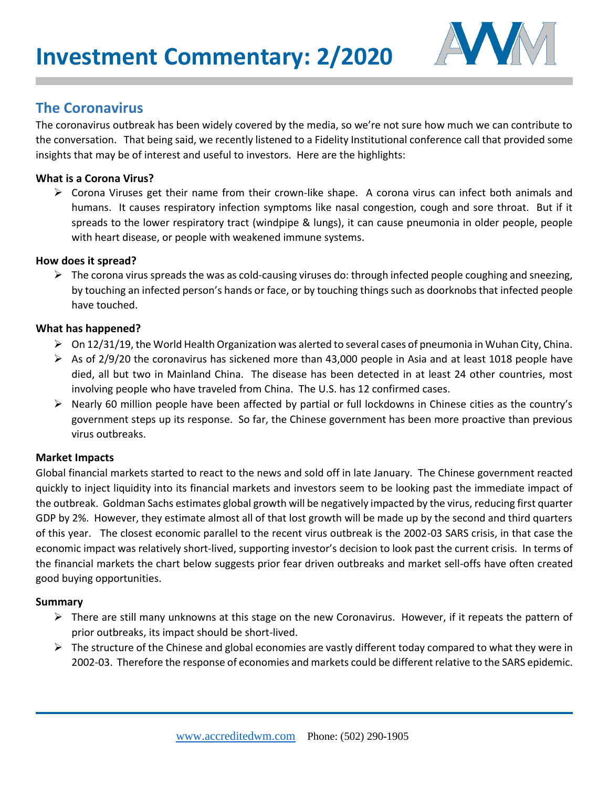

## **The Coronavirus**

The coronavirus outbreak has been widely covered by the media, so we're not sure how much we can contribute to the conversation. That being said, we recently listened to a Fidelity Institutional conference call that provided some insights that may be of interest and useful to investors. Here are the highlights:

#### **What is a Corona Virus?**

 $\triangleright$  Corona Viruses get their name from their crown-like shape. A corona virus can infect both animals and humans. It causes respiratory infection symptoms like nasal congestion, cough and sore throat. But if it spreads to the lower respiratory tract (windpipe & lungs), it can cause pneumonia in older people, people with heart disease, or people with weakened immune systems.

#### **How does it spread?**

 $\triangleright$  The corona virus spreads the was as cold-causing viruses do: through infected people coughing and sneezing, by touching an infected person's hands or face, or by touching things such as doorknobs that infected people have touched.

#### **What has happened?**

- $\triangleright$  On 12/31/19, the World Health Organization was alerted to several cases of pneumonia in Wuhan City, China.
- $\triangleright$  As of 2/9/20 the coronavirus has sickened more than 43,000 people in Asia and at least 1018 people have died, all but two in Mainland China. The disease has been detected in at least 24 other countries, most involving people who have traveled from China. The U.S. has 12 confirmed cases.
- $\triangleright$  Nearly 60 million people have been affected by partial or full lockdowns in Chinese cities as the country's government steps up its response. So far, the Chinese government has been more proactive than previous virus outbreaks.

### **Market Impacts**

Global financial markets started to react to the news and sold off in late January. The Chinese government reacted quickly to inject liquidity into its financial markets and investors seem to be looking past the immediate impact of the outbreak. Goldman Sachs estimates global growth will be negatively impacted by the virus, reducing first quarter GDP by 2%. However, they estimate almost all of that lost growth will be made up by the second and third quarters of this year. The closest economic parallel to the recent virus outbreak is the 2002-03 SARS crisis, in that case the economic impact was relatively short-lived, supporting investor's decision to look past the current crisis. In terms of the financial markets the chart below suggests prior fear driven outbreaks and market sell-offs have often created good buying opportunities.

#### **Summary**

- $\triangleright$  There are still many unknowns at this stage on the new Coronavirus. However, if it repeats the pattern of prior outbreaks, its impact should be short-lived.
- $\triangleright$  The structure of the Chinese and global economies are vastly different today compared to what they were in 2002-03. Therefore the response of economies and markets could be different relative to the SARS epidemic.